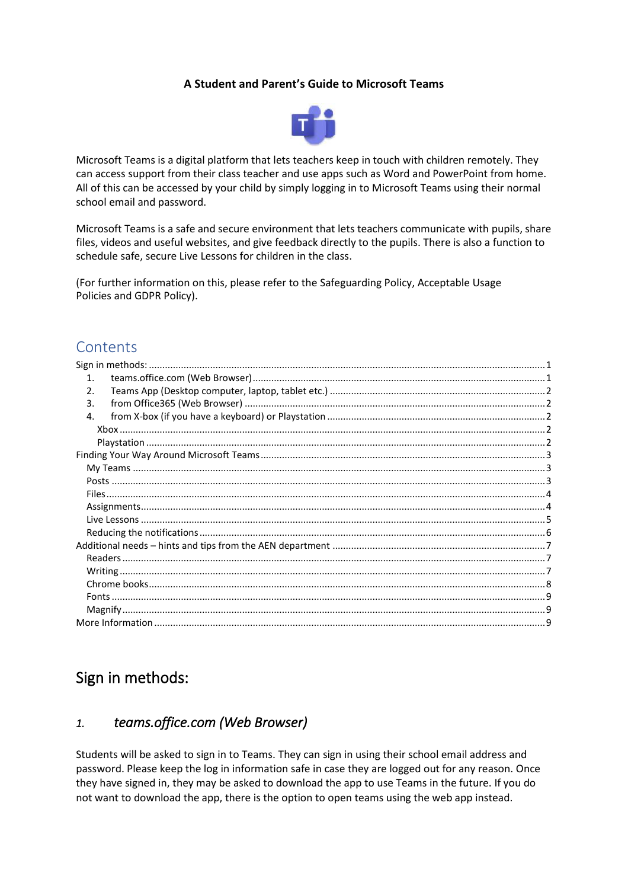#### **A Student and Parent's Guide to Microsoft Teams**



Microsoft Teams is a digital platform that lets teachers keep in touch with children remotely. They can access support from their class teacher and use apps such as Word and PowerPoint from home. All of this can be accessed by your child by simply logging in to Microsoft Teams using their normal school email and password.

Microsoft Teams is a safe and secure environment that lets teachers communicate with pupils, share files, videos and useful websites, and give feedback directly to the pupils. There is also a function to schedule safe, secure Live Lessons for children in the class.

(For further information on this, please refer to the Safeguarding Policy, Acceptable Usage Policies and GDPR Policy).

### **Contents**

| $\mathbf{1}$ . |
|----------------|
| $\mathfrak{D}$ |
| 3.             |
| 4.             |
|                |
|                |
|                |
|                |
|                |
|                |
|                |
|                |
|                |
|                |
|                |
|                |
|                |
|                |
|                |
|                |
|                |

# <span id="page-0-0"></span>Sign in methods:

### <span id="page-0-1"></span>*1. teams.office.com (Web Browser)*

Students will be asked to sign in to Teams. They can sign in using their school email address and password. Please keep the log in information safe in case they are logged out for any reason. Once they have signed in, they may be asked to download the app to use Teams in the future. If you do not want to download the app, there is the option to open teams using the web app instead.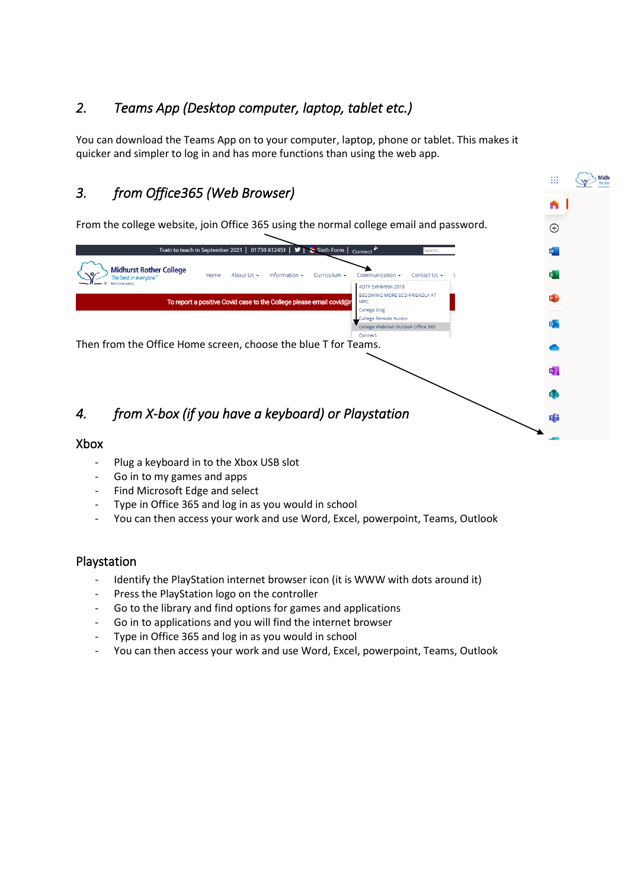## <span id="page-1-0"></span>*2. Teams App (Desktop computer, laptop, tablet etc.)*

You can download the Teams App on to your computer, laptop, phone or tablet. This makes it quicker and simpler to log in and has more functions than using the web app.

#### <span id="page-1-1"></span> $\mathbb{H}$ *3. from Office365 (Web Browser)*  A From the college website, join Office 365 using the normal college email and password.  $\bigoplus$ Train to teach in September 2021 | 01730 812451 | Sixth Form | Connect<sup>2</sup> **Midhurst Rother College** Home About Us + Curriculum +  $Co$  $mm$ unication  $\star$ Contact Us + The best in every ADTP Exhibition 2018 **BECOMING MORE ECO-FRIENDLY AT** To report a positive Covid case to the College please email covid@ MRC College blog ollege Remote Access ollege Webmail Outlook Office 365 Connect Then from the Office Home screen, choose the blue T for Teams. *4. from X-box (if you have a keyboard) or Playstation*  Xbox

- <span id="page-1-3"></span><span id="page-1-2"></span>Plug a keyboard in to the Xbox USB slot
- Go in to my games and apps
- Find Microsoft Edge and select
- Type in Office 365 and log in as you would in school
- You can then access your work and use Word, Excel, powerpoint, Teams, Outlook

#### <span id="page-1-4"></span>Playstation

- Identify the PlayStation internet browser icon (it is WWW with dots around it)
- Press the PlayStation logo on the controller
- Go to the library and find options for games and applications
- Go in to applications and you will find the internet browser
- Type in Office 365 and log in as you would in school
- You can then access your work and use Word, Excel, powerpoint, Teams, Outlook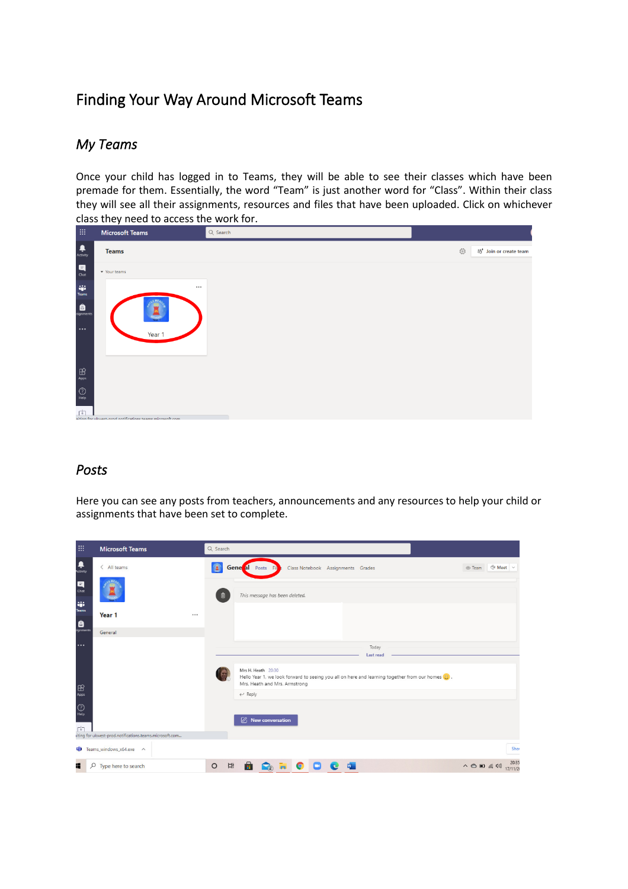# <span id="page-2-0"></span>Finding Your Way Around Microsoft Teams

#### <span id="page-2-1"></span>*My Teams*

Once your child has logged in to Teams, they will be able to see their classes which have been premade for them. Essentially, the word "Team" is just another word for "Class". Within their class they will see all their assignments, resources and files that have been uploaded. Click on whichever class they need to access the work for.

| 曲                                                                                               | <b>Microsoft Teams</b>                                    | Q Search |                                              |  |  |  |  |  |
|-------------------------------------------------------------------------------------------------|-----------------------------------------------------------|----------|----------------------------------------------|--|--|--|--|--|
| $\begin{array}{c} \begin{array}{c} \rule{0mm}{12mm} \end{array} \\ \text{Activity} \end{array}$ | <b>Teams</b>                                              |          | ಣ್ಣಿ<br>ะอื <sup>1</sup> Join or create team |  |  |  |  |  |
| $\begin{array}{c} \hline \mathbf{H} \\ \hline \end{array}$                                      | v Your teams                                              |          |                                              |  |  |  |  |  |
| $\begin{array}{c} \mathbf{ij} \\ \mathbf{trans} \end{array}$ Teams                              |                                                           |          |                                              |  |  |  |  |  |
| <b>A</b><br>signments<br>$\cdots$                                                               | Year 1                                                    |          |                                              |  |  |  |  |  |
| $\underset{\mathsf{Apps}}{\bigoplus}$                                                           |                                                           |          |                                              |  |  |  |  |  |
| $\bigodot\limits_{\mathsf{Help}}$<br>巾                                                          |                                                           |          |                                              |  |  |  |  |  |
|                                                                                                 | aiting for ubwest-nrod potifications teams microsoft com- |          |                                              |  |  |  |  |  |

### <span id="page-2-2"></span>*Posts*

Here you can see any posts from teachers, announcements and any resources to help your child or assignments that have been set to complete.

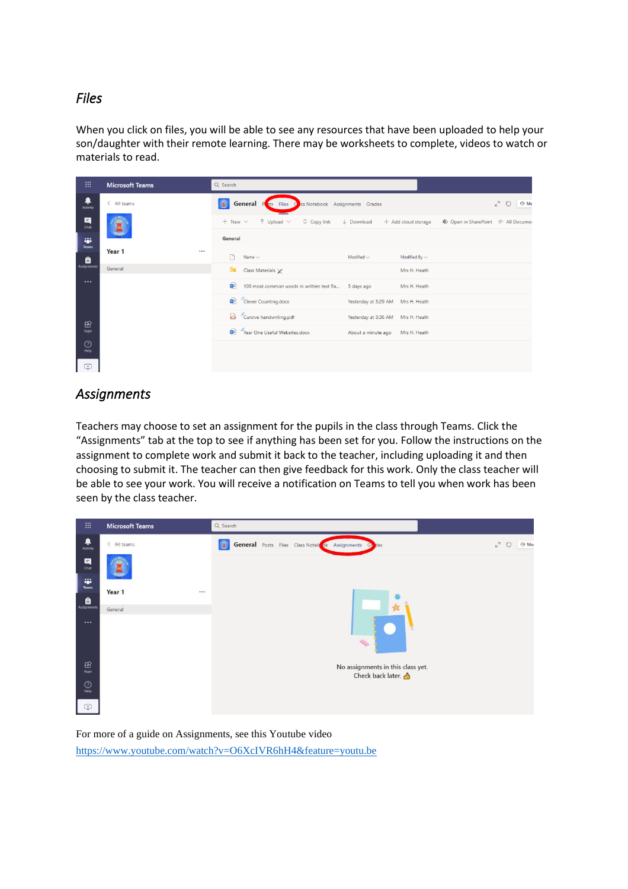#### <span id="page-3-0"></span>*Files*

When you click on files, you will be able to see any resources that have been uploaded to help your son/daughter with their remote learning. There may be worksheets to complete, videos to watch or materials to read.

| m                    | <b>Microsoft Teams</b> | Q Search                                                                                    |                                                                    |  |  |  |  |
|----------------------|------------------------|---------------------------------------------------------------------------------------------|--------------------------------------------------------------------|--|--|--|--|
| ₽<br>Activity        | $\langle$ All teams    | $\bullet$<br><b>General</b> P<br>ss Notebook Assignments Grades<br>sts Files<br>d           | ⊕⊄ Me<br>$k^{\pi}$<br>$\circ$                                      |  |  |  |  |
| E<br>Chat            |                        | $+$ New $\vee$<br>$\bar{\uparrow}$ Upload $\vee$<br>$\Box$ Copy link $\quad \perp$ Download | $+$ Add cloud storage<br><b>®</b> Open in SharePoint = All Documer |  |  |  |  |
| W.<br><b>Teams</b>   |                        | <b>General</b>                                                                              |                                                                    |  |  |  |  |
| â                    | Year 1<br>$\cdots$     | Name $\vee$<br>Modified $\smallsmile$                                                       | Modified By $\sim$                                                 |  |  |  |  |
| Assignments          | General                | ि≥<br>Class Materials X                                                                     | Mrs H. Heath                                                       |  |  |  |  |
| $\cdots$             |                        | 輯<br>100 most common words in written text fla 3 days ago                                   | Mrs H. Heath                                                       |  |  |  |  |
|                      |                        | Clever Counting.docx                                                                        | Yesterday at 3:29 AM Mrs H. Heath                                  |  |  |  |  |
|                      |                        | Cursive handwriting.pdf                                                                     | Yesterday at 3:36 AM Mrs H. Heath                                  |  |  |  |  |
| $\mathbb{B}$<br>Apps |                        | Vear One Useful Websites.docx                                                               | About a minute ago<br>Mrs H. Heath                                 |  |  |  |  |
| $\odot$<br>He        |                        |                                                                                             |                                                                    |  |  |  |  |
| 中                    |                        |                                                                                             |                                                                    |  |  |  |  |

#### <span id="page-3-1"></span>*Assignments*

Teachers may choose to set an assignment for the pupils in the class through Teams. Click the "Assignments" tab at the top to see if anything has been set for you. Follow the instructions on the assignment to complete work and submit it back to the teacher, including uploading it and then choosing to submit it. The teacher can then give feedback for this work. Only the class teacher will be able to see your work. You will receive a notification on Teams to tell you when work has been seen by the class teacher.

| m                          | <b>Microsoft Teams</b> | Q Search                                                                                                        |
|----------------------------|------------------------|-----------------------------------------------------------------------------------------------------------------|
| ۹<br>Activity              | < All teams            | 值<br><b>General</b> Posts Files Class Noteb <sub>ok</sub><br>⊕ Mei<br>⊬ী<br>$\circ$<br>Assignments<br>Gt<br>des |
| Q<br>Chat                  |                        |                                                                                                                 |
| 49<br>Teams                |                        |                                                                                                                 |
| $\bigoplus$<br>Assignments | Year 1<br>             |                                                                                                                 |
|                            | General                |                                                                                                                 |
| $\cdots$                   |                        | $\mathcal{L}_{\mathcal{D}}$                                                                                     |
| $\mathbb{B}$<br>Apps       |                        | No assignments in this class yet.                                                                               |
| $\circledcirc$<br>Help     |                        | Check back later.                                                                                               |
| 中                          |                        |                                                                                                                 |

For more of a guide on Assignments, see this Youtube video <https://www.youtube.com/watch?v=O6XcIVR6hH4&feature=youtu.be>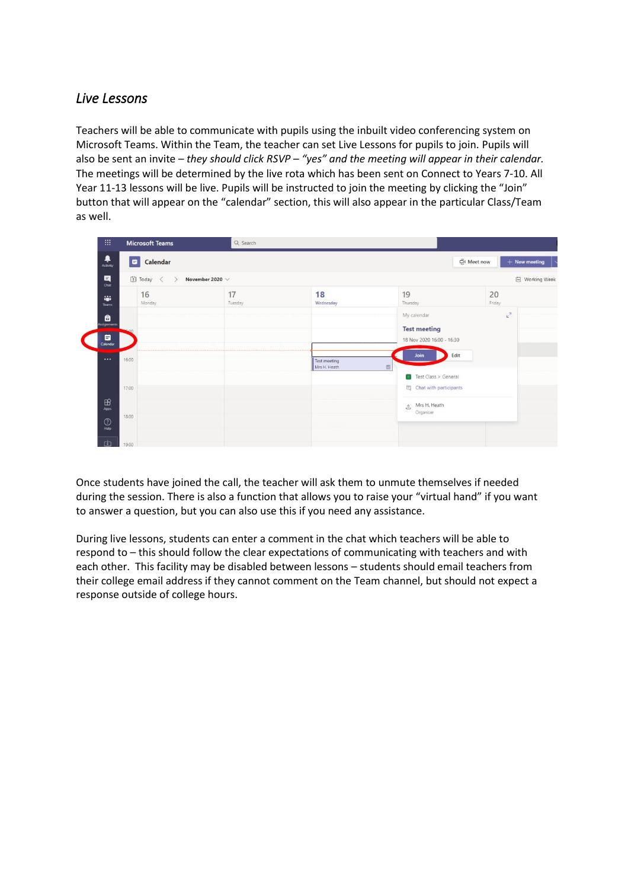#### <span id="page-4-0"></span>*Live Lessons*

Teachers will be able to communicate with pupils using the inbuilt video conferencing system on Microsoft Teams. Within the Team, the teacher can set Live Lessons for pupils to join. Pupils will also be sent an invite – *they should click RSVP – "yes" and the meeting will appear in their calendar.* The meetings will be determined by the live rota which has been sent on Connect to Years 7-10. All Year 11-13 lessons will be live. Pupils will be instructed to join the meeting by clicking the "Join" button that will appear on the "calendar" section, this will also appear in the particular Class/Team as well.

| 排                                                             | <b>Microsoft Teams</b> | Q Search             |                              |                                                                 |                               |
|---------------------------------------------------------------|------------------------|----------------------|------------------------------|-----------------------------------------------------------------|-------------------------------|
| ٠<br>Activity                                                 | Calendar               |                      |                              |                                                                 | O Meet now<br>$+$ New meeting |
| $\begin{array}{c}\n\blacksquare \\ \blacksquare\n\end{array}$ | 【】 Today               | November 2020 $\vee$ |                              |                                                                 | <sup>(二)</sup> Working Week   |
| <b>ALC</b><br>Teams                                           | 16<br>Monday           | 17<br>Tuesday        | 18<br>Wednesday              | 19<br>Thursday                                                  | 20<br>Friday                  |
| e<br>ssignments<br>$\overline{\mathbf{G}}$<br>Calendar        |                        |                      |                              | My calendar<br><b>Test meeting</b><br>18 Nov 2020 16:00 - 16:30 | $k^{7}$                       |
|                                                               | <br>16:00              |                      | Test meeting<br>Mrs H. Heath | Edit<br>Join<br>$\qquad \qquad \boxplus$                        |                               |
|                                                               | 17:00                  |                      |                              | Test Class > General<br>E Chat with participants                |                               |
| $\mathbb{B}$<br>Apps<br>$\odot$<br>Help                       | 18:00                  |                      |                              | Mrs H. Heath<br>e<br>Organiser                                  |                               |
| 山                                                             | 19:00                  |                      |                              |                                                                 |                               |

Once students have joined the call, the teacher will ask them to unmute themselves if needed during the session. There is also a function that allows you to raise your "virtual hand" if you want to answer a question, but you can also use this if you need any assistance.

During live lessons, students can enter a comment in the chat which teachers will be able to respond to – this should follow the clear expectations of communicating with teachers and with each other. This facility may be disabled between lessons – students should email teachers from their college email address if they cannot comment on the Team channel, but should not expect a response outside of college hours.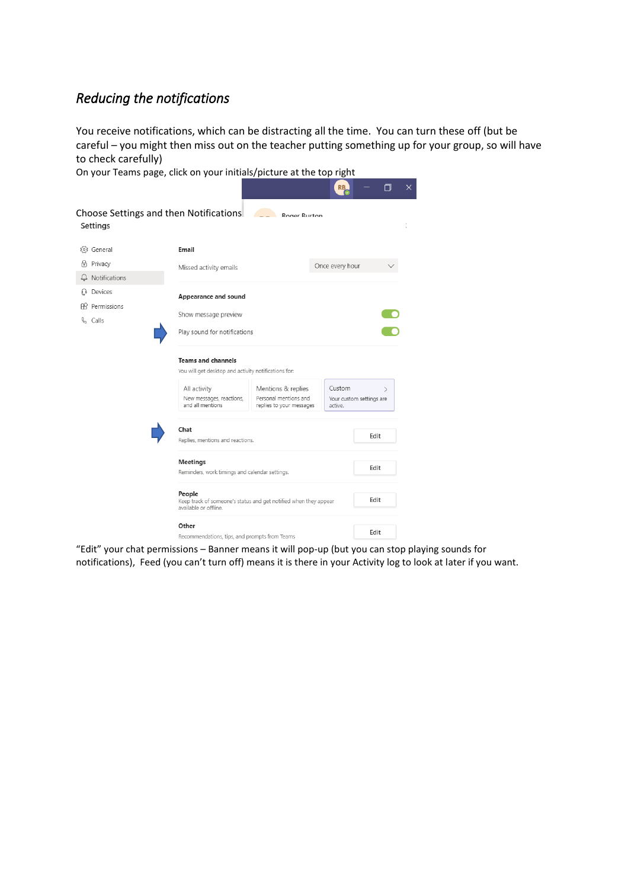### <span id="page-5-0"></span>*Reducing the notifications*

You receive notifications, which can be distracting all the time. You can turn these off (but be careful – you might then miss out on the teacher putting something up for your group, so will have to check carefully)

On your Teams page, click on your initials/picture at the top right



"Edit" your chat permissions – Banner means it will pop-up (but you can stop playing sounds for notifications), Feed (you can't turn off) means it is there in your Activity log to look at later if you want.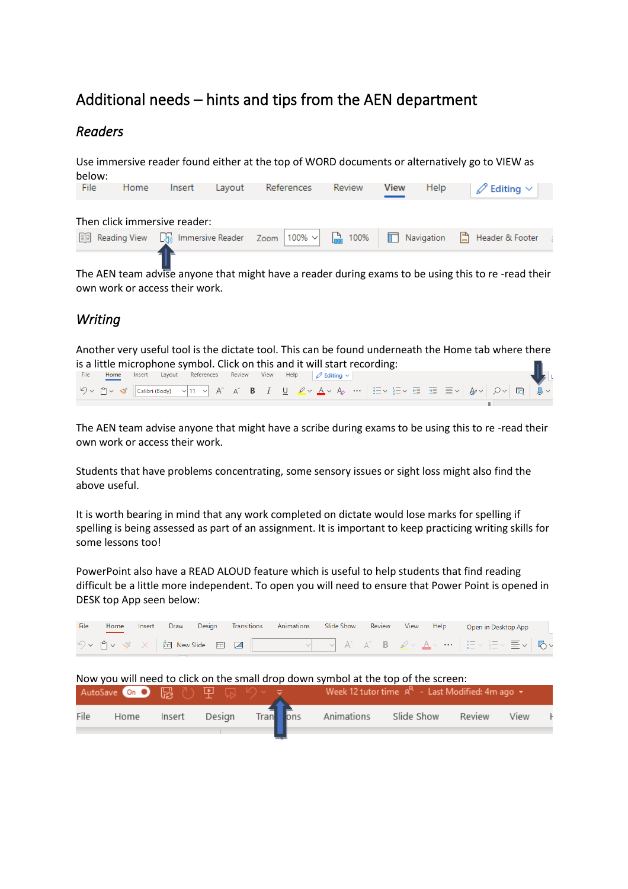# <span id="page-6-0"></span>Additional needs – hints and tips from the AEN department

#### <span id="page-6-1"></span>*Readers*

Use immersive reader found either at the top of WORD documents or alternatively go to VIEW as below:

| File | Home | Insert                       | Lavout | References | Review | View | Help | $\mathscr{A}$ Editing $\vee^+$                                                                              |  |
|------|------|------------------------------|--------|------------|--------|------|------|-------------------------------------------------------------------------------------------------------------|--|
|      |      | Then click immersive reader: |        |            |        |      |      |                                                                                                             |  |
|      |      |                              |        |            |        |      |      | <b>■</b> Reading View $\Box$ Immersive Reader Zoom 100% $\lor$ <b>■</b> 100% ■ Navigation ■ Header & Footer |  |

The AEN team advise anyone that might have a reader during exams to be using this to re -read their own work or access their work.

### <span id="page-6-2"></span>*Writing*

Another very useful tool is the dictate tool. This can be found underneath the Home tab where there is a little microphone symbol. Click on this and it will start recording:<br>File Home Insert Layout References Review View Help  $\emptyset$  Editing  $\vee$ 



The AEN team advise anyone that might have a scribe during exams to be using this to re -read their own work or access their work.

Students that have problems concentrating, some sensory issues or sight loss might also find the above useful.

It is worth bearing in mind that any work completed on dictate would lose marks for spelling if spelling is being assessed as part of an assignment. It is important to keep practicing writing skills for some lessons too!

PowerPoint also have a READ ALOUD feature which is useful to help students that find reading difficult be a little more independent. To open you will need to ensure that Power Point is opened in DESK top App seen below:

| File | Home                                                                                                  | Insert | Draw   | Design | <b>Transitions</b>                      | Animations | Slide Show                                                                         | Review | View       | <b>Help</b> | Open in Desktop App |      |  |
|------|-------------------------------------------------------------------------------------------------------|--------|--------|--------|-----------------------------------------|------------|------------------------------------------------------------------------------------|--------|------------|-------------|---------------------|------|--|
|      | $\forall$ $\vee$ $\cap$ $\vee$ $\mathscr{\mathscr{A}}$ $\times$ $\mid$ $\Box$ New Slide $\Box$ $\Box$ |        |        |        |                                         |            | ▔▔▽▏A゛A゛B゜ <u>Ø</u> ▽▕ <u>A</u> ▽ … ▏!Ξ▽ !Ξ▽ <b>≣</b> ▽│ ゐv                        |        |            |             |                     |      |  |
|      |                                                                                                       |        |        |        |                                         |            | Now you will need to click on the small drop down symbol at the top of the screen: |        |            |             |                     |      |  |
|      |                                                                                                       |        |        |        | AutoSave on ● 圖 ① 里 显 <sup>5</sup> > マー |            | Week 12 tutor time $A^R$ - Last Modified: 4m ago $\star$                           |        |            |             |                     |      |  |
| File | Home                                                                                                  |        | Insert | Design |                                         | Tran ons   | Animations                                                                         |        | Slide Show |             | Review              | View |  |
|      |                                                                                                       |        |        |        |                                         |            |                                                                                    |        |            |             |                     |      |  |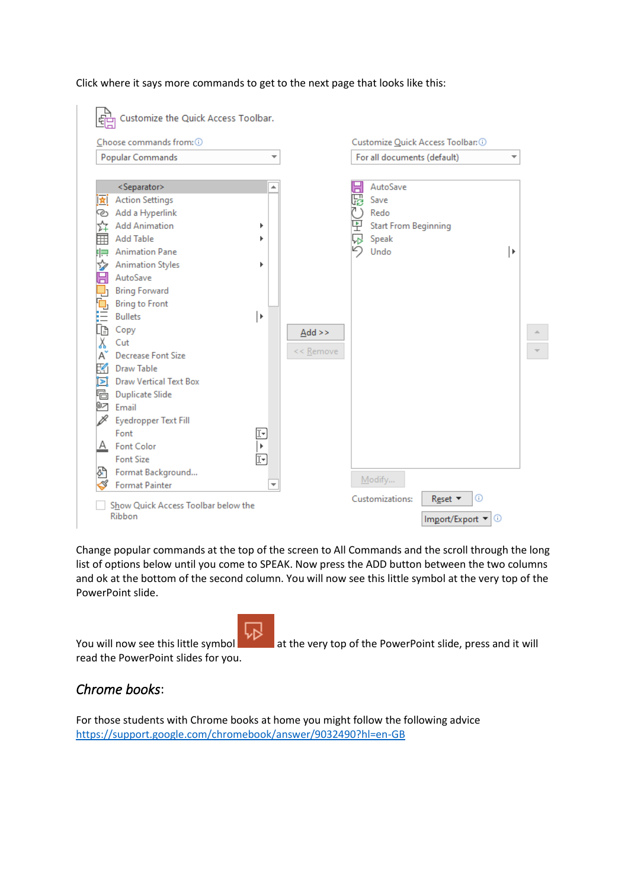#### Click where it says more commands to get to the next page that looks like this:

| Choose commands from: 0             |                          |                      |            | Customize Quick Access Toolbar: 0 |    |
|-------------------------------------|--------------------------|----------------------|------------|-----------------------------------|----|
| Popular Commands                    | $\overline{\phantom{a}}$ |                      |            | For all documents (default)       | ▼  |
| <separator></separator>             | ▲                        |                      | $\boxplus$ | AutoSave                          |    |
| <b>Action Settings</b><br>食         |                          |                      | 喝          | Save                              |    |
| Add a Hyperlink<br>☜                |                          |                      |            | Redo                              |    |
| <b>Add Animation</b>                |                          |                      | 묀          | <b>Start From Beginning</b>       |    |
| ≡<br><b>Add Table</b>               |                          |                      |            | Speak                             |    |
| <b>Animation Pane</b><br>胂          |                          |                      | ŋ          | Undo                              | ∣⊧ |
| <b>Animation Styles</b><br>S        |                          |                      |            |                                   |    |
| $\boxdot$<br>AutoSave               |                          |                      |            |                                   |    |
| <b>Bring Forward</b>                |                          |                      |            |                                   |    |
| <b>Bring to Front</b>               |                          |                      |            |                                   |    |
| <b>Bullets</b>                      | ∣⊧                       |                      |            |                                   |    |
| Copy                                |                          | $\underline{Add}$ >> |            |                                   |    |
| ն<br>∦<br>Cut                       |                          |                      |            |                                   |    |
| <b>Decrease Font Size</b><br>Aັ     |                          | << Remove            |            |                                   |    |
| K<br>Draw Table                     |                          |                      |            |                                   |    |
| <b>Draw Vertical Text Box</b><br>⊡  |                          |                      |            |                                   |    |
| <b><sup>B</sup></b> Duplicate Slide |                          |                      |            |                                   |    |
| <b>27</b> Email                     |                          |                      |            |                                   |    |
| <b>Eyedropper Text Fill</b>         |                          |                      |            |                                   |    |
| Font                                | ⊡                        |                      |            |                                   |    |
| Font Color<br>А                     | $\bar{\mathbf{r}}$       |                      |            |                                   |    |
| <b>Font Size</b>                    | 妇                        |                      |            |                                   |    |
| Format Background                   |                          |                      |            | Modify                            |    |
| <b>Format Painter</b>               | ▼                        |                      |            |                                   |    |

Change popular commands at the top of the screen to All Commands and the scroll through the long list of options below until you come to SPEAK. Now press the ADD button between the two columns and ok at the bottom of the second column. You will now see this little symbol at the very top of the PowerPoint slide.

read the PowerPoint slides for you.

You will now see this little symbol at the very top of the PowerPoint slide, press and it will

#### <span id="page-7-0"></span>*Chrome books*:

For those students with Chrome books at home you might follow the following advice <https://support.google.com/chromebook/answer/9032490?hl=en-GB>